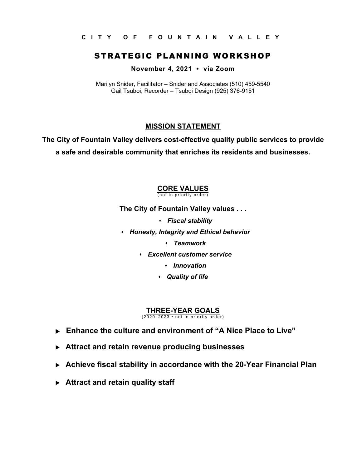**CITY OF FOUNTAIN VALLEY** 

# STRATEGIC PLANNING WORKSHOP

**November 4, 2021 • via Zoom**

Marilyn Snider, Facilitator – Snider and Associates (510) 459-5540 Gail Tsuboi, Recorder – Tsuboi Design (925) 376-9151

### **MISSION STATEMENT**

**The City of Fountain Valley delivers cost-effective quality public services to provide a safe and desirable community that enriches its residents and businesses.** 

# **CORE VALUES**

(not in priority order)

**The City of Fountain Valley values . . .** 

- *Fiscal stability*
- *Honesty, Integrity and Ethical behavior* 
	- *Teamwork*
	- *Excellent customer service* 
		- *Innovation*
		- *Quality of life*

### **THREE-YEAR GOALS**

(2020–2023 • not in priority order)

- **Enhance the culture and environment of "A Nice Place to Live"**
- **Attract and retain revenue producing businesses**
- **Achieve fiscal stability in accordance with the 20-Year Financial Plan**
- **Attract and retain quality staff**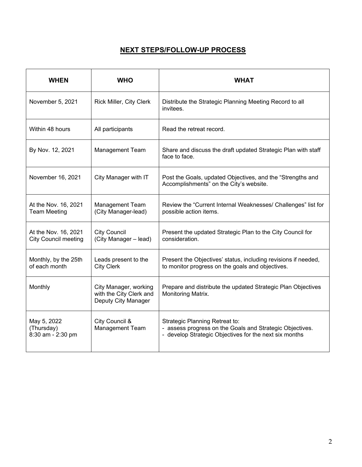# **NEXT STEPS/FOLLOW-UP PROCESS**

| <b>WHEN</b>                                         | <b>WHO</b>                                                              | WHAT                                                                                                                                                 |
|-----------------------------------------------------|-------------------------------------------------------------------------|------------------------------------------------------------------------------------------------------------------------------------------------------|
| November 5, 2021                                    | Rick Miller, City Clerk                                                 | Distribute the Strategic Planning Meeting Record to all<br>invitees.                                                                                 |
| Within 48 hours                                     | All participants                                                        | Read the retreat record.                                                                                                                             |
| By Nov. 12, 2021                                    | <b>Management Team</b>                                                  | Share and discuss the draft updated Strategic Plan with staff<br>face to face.                                                                       |
| November 16, 2021                                   | City Manager with IT                                                    | Post the Goals, updated Objectives, and the "Strengths and<br>Accomplishments" on the City's website.                                                |
| At the Nov. 16, 2021<br><b>Team Meeting</b>         | Management Team<br>(City Manager-lead)                                  | Review the "Current Internal Weaknesses/ Challenges" list for<br>possible action items.                                                              |
| At the Nov. 16, 2021<br><b>City Council meeting</b> | <b>City Council</b><br>(City Manager - lead)                            | Present the updated Strategic Plan to the City Council for<br>consideration.                                                                         |
| Monthly, by the 25th<br>of each month               | Leads present to the<br><b>City Clerk</b>                               | Present the Objectives' status, including revisions if needed,<br>to monitor progress on the goals and objectives.                                   |
| Monthly                                             | City Manager, working<br>with the City Clerk and<br>Deputy City Manager | Prepare and distribute the updated Strategic Plan Objectives<br>Monitoring Matrix.                                                                   |
| May 5, 2022<br>(Thursday)<br>8:30 am - 2:30 pm      | City Council &<br>Management Team                                       | Strategic Planning Retreat to:<br>- assess progress on the Goals and Strategic Objectives.<br>- develop Strategic Objectives for the next six months |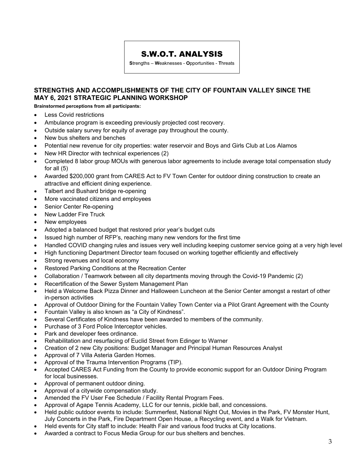## S.W.O.T. ANALYSIS

**S**trengths – **W**eaknesses - **O**pportunities - **T**hreats

### **STRENGTHS AND ACCOMPLISHMENTS OF THE CITY OF FOUNTAIN VALLEY SINCE THE MAY 6, 2021 STRATEGIC PLANNING WORKSHOP**

**Brainstormed perceptions from all participants:** 

- Less Covid restrictions
- Ambulance program is exceeding previously projected cost recovery.
- Outside salary survey for equity of average pay throughout the county.
- New bus shelters and benches
- Potential new revenue for city properties: water reservoir and Boys and Girls Club at Los Alamos
- New HR Director with technical experiences (2)
- Completed 8 labor group MOUs with generous labor agreements to include average total compensation study for all (5)
- Awarded \$200,000 grant from CARES Act to FV Town Center for outdoor dining construction to create an attractive and efficient dining experience.
- Talbert and Bushard bridge re-opening
- More vaccinated citizens and employees
- Senior Center Re-opening
- New Ladder Fire Truck
- New employees
- Adopted a balanced budget that restored prior year's budget cuts
- Issued high number of RFP's, reaching many new vendors for the first time
- Handled COVID changing rules and issues very well including keeping customer service going at a very high level
- High functioning Department Director team focused on working together efficiently and effectively
- Strong revenues and local economy
- Restored Parking Conditions at the Recreation Center
- Collaboration / Teamwork between all city departments moving through the Covid-19 Pandemic (2)
- Recertification of the Sewer System Management Plan
- Held a Welcome Back Pizza Dinner and Halloween Luncheon at the Senior Center amongst a restart of other in-person activities
- Approval of Outdoor Dining for the Fountain Valley Town Center via a Pilot Grant Agreement with the County
- Fountain Valley is also known as "a City of Kindness".
- Several Certificates of Kindness have been awarded to members of the community.
- Purchase of 3 Ford Police Interceptor vehicles.
- Park and developer fees ordinance.
- Rehabilitation and resurfacing of Euclid Street from Edinger to Warner
- Creation of 2 new City positions: Budget Manager and Principal Human Resources Analyst
- Approval of 7 Villa Asteria Garden Homes.
- Approval of the Trauma Intervention Programs (TIP).
- Accepted CARES Act Funding from the County to provide economic support for an Outdoor Dining Program for local businesses.
- Approval of permanent outdoor dining.
- Approval of a citywide compensation study.
- Amended the FV User Fee Schedule / Facility Rental Program Fees.
- Approval of Agape Tennis Academy, LLC for our tennis, pickle ball, and concessions.
- Held public outdoor events to include: Summerfest, National Night Out, Movies in the Park, FV Monster Hunt, July Concerts in the Park, Fire Department Open House, a Recycling event, and a Walk for Vietnam.
- Held events for City staff to include: Health Fair and various food trucks at City locations.
- Awarded a contract to Focus Media Group for our bus shelters and benches.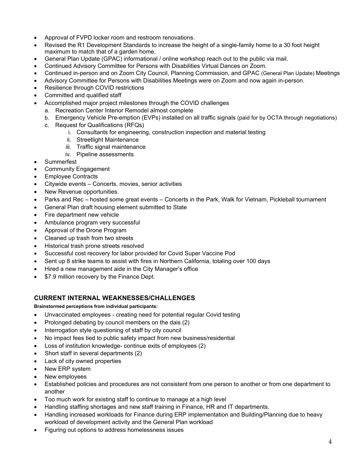- Approval of FVPD locker room and restroom renovations.
- Revised the R1 Development Standards to increase the height of a single-family home to a 30 foot height maximum to match that of a garden home.
- General Plan Update (GPAC) informational / online workshop reach out to the public via mail.
- Continued Advisory Committee for Persons with Disabilities Virtual Dances on Zoom.
- Continued in-person and on Zoom City Council, Planning Commission, and GPAC (General Plan Update) Meetings
- Advisory Committee for Persons with Disabilities Meetings were on Zoom and now again in-person.
- Resilience through COVID restrictions
- Committed and qualified staff
- Accomplished major project milestones through the COVID challenges
	- a. Recreation Center Interior Remodel almost complete
	- b. Emergency Vehicle Pre-emption (EVPs) installed on all traffic signals (paid for by OCTA through negotiations)
	- c. Request for Qualifications (RFQs)
		- i. Consultants for engineering, construction inspection and material testing
		- ii. Streetlight Maintenance
		- iii. Traffic signal maintenance
		- iv. Pipeline assessments
- Summerfest
- Community Engagement
- Employee Contracts
- Citywide events Concerts, movies, senior activities
- New Revenue opportunities.
- Parks and Rec hosted some great events Concerts in the Park, Walk for Vietnam, Pickleball tournament
- General Plan draft housing element submitted to State
- Fire department new vehicle
- Ambulance program very successful
- Approval of the Drone Program
- Cleaned up trash from two streets
- Historical trash prone streets resolved
- Successful cost recovery for labor provided for Covid Super Vaccine Pod
- Sent up 8 strike teams to assist with fires in Northern California, totaling over 100 days
- Hired a new management aide in the City Manager's office
- \$7.9 million recovery by the Finance Dept.

### **CURRENT INTERNAL WEAKNESSES/CHALLENGES**

**Brainstormed perceptions from individual participants:** 

- Unvaccinated employees creating need for potential regular Covid testing
- Prolonged debating by council members on the dais (2)
- Interrogation style questioning of staff by city council
- No impact fees tied to public safety impact from new business/residential
- Loss of institution knowledge- continue exits of employees (2)
- Short staff in several departments (2)
- Lack of city owned properties
- New ERP system
- New employees
- Established policies and procedures are not consistent from one person to another or from one department to another
- Too much work for existing staff to continue to manage at a high level
- Handling staffing shortages and new staff training in Finance, HR and IT departments.
- Handling increased workloads for Finance during ERP implementation and Building/Planning due to heavy workload of development activity and the General Plan workload
- Figuring out options to address homelessness issues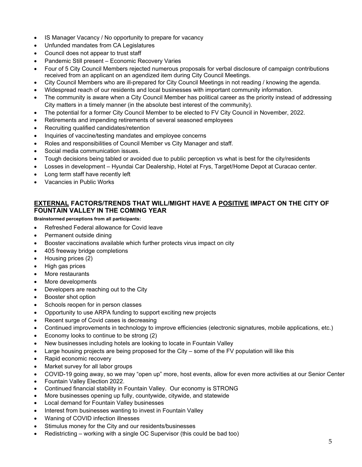- IS Manager Vacancy / No opportunity to prepare for vacancy
- Unfunded mandates from CA Legislatures
- Council does not appear to trust staff
- Pandemic Still present Economic Recovery Varies
- Four of 5 City Council Members rejected numerous proposals for verbal disclosure of campaign contributions received from an applicant on an agendized item during City Council Meetings.
- City Council Members who are ill-prepared for City Council Meetings in not reading / knowing the agenda.
- Widespread reach of our residents and local businesses with important community information.
- The community is aware when a City Council Member has political career as the priority instead of addressing City matters in a timely manner (in the absolute best interest of the community).
- The potential for a former City Council Member to be elected to FV City Council in November, 2022.
- Retirements and impending retirements of several seasoned employees
- Recruiting qualified candidates/retention
- Inquiries of vaccine/testing mandates and employee concerns
- Roles and responsibilities of Council Member vs City Manager and staff.
- Social media communication issues.
- Tough decisions being tabled or avoided due to public perception vs what is best for the city/residents
- Losses in development Hyundai Car Dealership, Hotel at Frys, Target/Home Depot at Curacao center.
- Long term staff have recently left
- Vacancies in Public Works

### **EXTERNAL FACTORS/TRENDS THAT WILL/MIGHT HAVE A POSITIVE IMPACT ON THE CITY OF FOUNTAIN VALLEY IN THE COMING YEAR**

**Brainstormed perceptions from all participants:** 

- Refreshed Federal allowance for Covid leave
- Permanent outside dining
- Booster vaccinations available which further protects virus impact on city
- 405 freeway bridge completions
- Housing prices (2)
- High gas prices
- More restaurants
- More developments
- Developers are reaching out to the City
- Booster shot option
- Schools reopen for in person classes
- Opportunity to use ARPA funding to support exciting new projects
- Recent surge of Covid cases is decreasing
- Continued improvements in technology to improve efficiencies (electronic signatures, mobile applications, etc.)
- Economy looks to continue to be strong (2)
- New businesses including hotels are looking to locate in Fountain Valley
- Large housing projects are being proposed for the City some of the FV population will like this
- Rapid economic recovery
- Market survey for all labor groups
- COVID-19 going away, so we may "open up" more, host events, allow for even more activities at our Senior Center
- Fountain Valley Election 2022.
- Continued financial stability in Fountain Valley. Our economy is STRONG
- More businesses opening up fully, countywide, citywide, and statewide
- Local demand for Fountain Valley businesses
- Interest from businesses wanting to invest in Fountain Valley
- Waning of COVID infection illnesses
- Stimulus money for the City and our residents/businesses
- Redistricting working with a single OC Supervisor (this could be bad too)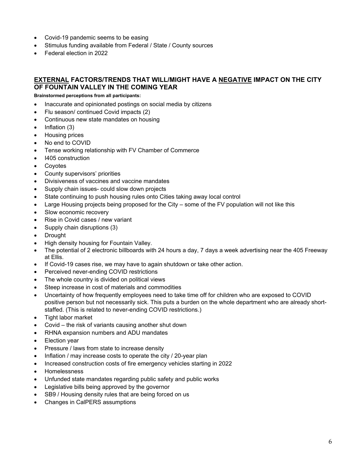- Covid-19 pandemic seems to be easing
- Stimulus funding available from Federal / State / County sources
- Federal election in 2022

### **EXTERNAL FACTORS/TRENDS THAT WILL/MIGHT HAVE A NEGATIVE IMPACT ON THE CITY OF FOUNTAIN VALLEY IN THE COMING YEAR**

**Brainstormed perceptions from all participants:** 

- Inaccurate and opinionated postings on social media by citizens
- Flu season/ continued Covid impacts (2)
- Continuous new state mandates on housing
- Inflation (3)
- Housing prices
- No end to COVID
- Tense working relationship with FV Chamber of Commerce
- I405 construction
- Coyotes
- County supervisors' priorities
- Divisiveness of vaccines and vaccine mandates
- Supply chain issues- could slow down projects
- State continuing to push housing rules onto Cities taking away local control
- Large Housing projects being proposed for the City some of the FV population will not like this
- Slow economic recovery
- Rise in Covid cases / new variant
- Supply chain disruptions (3)
- **Drought**
- High density housing for Fountain Valley.
- The potential of 2 electronic billboards with 24 hours a day, 7 days a week advertising near the 405 Freeway at Ellis.
- If Covid-19 cases rise, we may have to again shutdown or take other action.
- Perceived never-ending COVID restrictions
- The whole country is divided on political views
- Steep increase in cost of materials and commodities
- Uncertainty of how frequently employees need to take time off for children who are exposed to COVID positive person but not necessarily sick. This puts a burden on the whole department who are already shortstaffed. (This is related to never-ending COVID restrictions.)
- Tight labor market
- Covid the risk of variants causing another shut down
- RHNA expansion numbers and ADU mandates
- Election year
- Pressure / laws from state to increase density
- Inflation / may increase costs to operate the city / 20-year plan
- Increased construction costs of fire emergency vehicles starting in 2022
- **Homelessness**
- Unfunded state mandates regarding public safety and public works
- Legislative bills being approved by the governor
- SB9 / Housing density rules that are being forced on us
- Changes in CalPERS assumptions